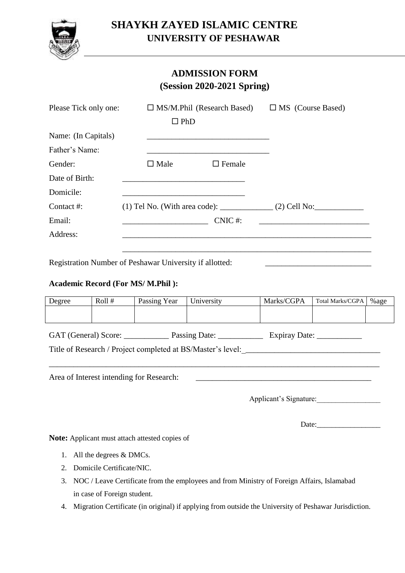

# **SHAYKH ZAYED ISLAMIC CENTRE UNIVERSITY OF PESHAWAR**

### **ADMISSION FORM (Session 2020-2021 Spring)**

| Please Tick only one: | $\Box$ MS/M.Phil (Research Based)                          | $\Box$ MS (Course Based) |  |
|-----------------------|------------------------------------------------------------|--------------------------|--|
|                       | $\Box$ PhD                                                 |                          |  |
| Name: (In Capitals)   |                                                            |                          |  |
| Father's Name:        |                                                            |                          |  |
| Gender:               | $\Box$ Female<br>$\Box$ Male                               |                          |  |
| Date of Birth:        |                                                            |                          |  |
| Domicile:             |                                                            |                          |  |
| Contact #:            | $(1)$ Tel No. (With area code): ______________(2) Cell No: |                          |  |
| Email:                | $CNIC$ #:                                                  |                          |  |
| Address:              |                                                            |                          |  |
|                       |                                                            |                          |  |

Registration Number of Peshawar University if allotted:

#### **Academic Record (For MS/ M.Phil ):**

| Degree                                                                                      | Roll $#$ | Passing Year | University | Marks/CGPA | <b>Total Marks/CGPA</b> | %age |
|---------------------------------------------------------------------------------------------|----------|--------------|------------|------------|-------------------------|------|
|                                                                                             |          |              |            |            |                         |      |
| GAT (General) Score: Passing Date:<br>Expiray Date: $\frac{\qquad \qquad }{\qquad \qquad }$ |          |              |            |            |                         |      |
| Title of Research / Project completed at BS/Master's level: _____________________           |          |              |            |            |                         |      |
|                                                                                             |          |              |            |            |                         |      |
| Area of Interest intending for Research:                                                    |          |              |            |            |                         |      |
| Applicant's Signature:                                                                      |          |              |            |            |                         |      |

Date:

**Note:** Applicant must attach attested copies of

- 1. All the degrees & DMCs.
- 2. Domicile Certificate/NIC.
- 3. NOC / Leave Certificate from the employees and from Ministry of Foreign Affairs, Islamabad in case of Foreign student.
- 4. Migration Certificate (in original) if applying from outside the University of Peshawar Jurisdiction.